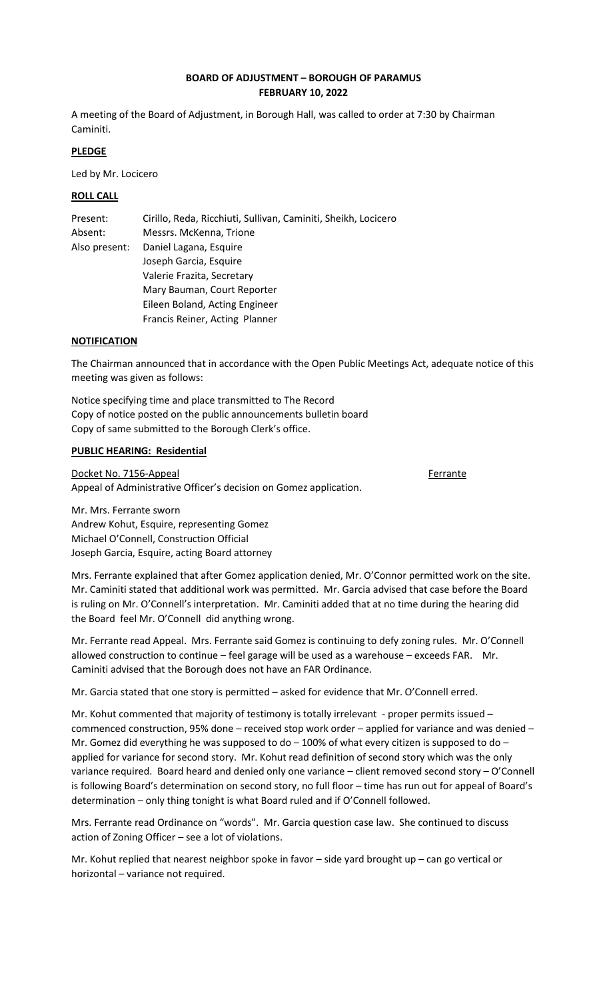# **BOARD OF ADJUSTMENT – BOROUGH OF PARAMUS FEBRUARY 10, 2022**

A meeting of the Board of Adjustment, in Borough Hall, was called to order at 7:30 by Chairman Caminiti.

# **PLEDGE**

Led by Mr. Locicero

# **ROLL CALL**

| Present:      | Cirillo, Reda, Ricchiuti, Sullivan, Caminiti, Sheikh, Locicero |
|---------------|----------------------------------------------------------------|
| Absent:       | Messrs. McKenna, Trione                                        |
| Also present: | Daniel Lagana, Esquire                                         |
|               | Joseph Garcia, Esquire                                         |
|               | Valerie Frazita, Secretary                                     |
|               | Mary Bauman, Court Reporter                                    |
|               | Eileen Boland, Acting Engineer                                 |
|               | Francis Reiner, Acting Planner                                 |

# **NOTIFICATION**

The Chairman announced that in accordance with the Open Public Meetings Act, adequate notice of this meeting was given as follows:

Notice specifying time and place transmitted to The Record Copy of notice posted on the public announcements bulletin board Copy of same submitted to the Borough Clerk's office.

# **PUBLIC HEARING: Residential**

Docket No. 7156-Appeal **Ferrante** Appeal of Administrative Officer's decision on Gomez application.

Mr. Mrs. Ferrante sworn Andrew Kohut, Esquire, representing Gomez Michael O'Connell, Construction Official Joseph Garcia, Esquire, acting Board attorney

Mrs. Ferrante explained that after Gomez application denied, Mr. O'Connor permitted work on the site. Mr. Caminiti stated that additional work was permitted. Mr. Garcia advised that case before the Board is ruling on Mr. O'Connell's interpretation. Mr. Caminiti added that at no time during the hearing did the Board feel Mr. O'Connell did anything wrong.

Mr. Ferrante read Appeal. Mrs. Ferrante said Gomez is continuing to defy zoning rules. Mr. O'Connell allowed construction to continue – feel garage will be used as a warehouse – exceeds FAR. Mr. Caminiti advised that the Borough does not have an FAR Ordinance.

Mr. Garcia stated that one story is permitted – asked for evidence that Mr. O'Connell erred.

Mr. Kohut commented that majority of testimony is totally irrelevant - proper permits issued – commenced construction, 95% done – received stop work order – applied for variance and was denied – Mr. Gomez did everything he was supposed to do  $-100\%$  of what every citizen is supposed to do  $$ applied for variance for second story. Mr. Kohut read definition of second story which was the only variance required. Board heard and denied only one variance – client removed second story – O'Connell is following Board's determination on second story, no full floor – time has run out for appeal of Board's determination – only thing tonight is what Board ruled and if O'Connell followed.

Mrs. Ferrante read Ordinance on "words". Mr. Garcia question case law. She continued to discuss action of Zoning Officer – see a lot of violations.

Mr. Kohut replied that nearest neighbor spoke in favor – side yard brought up – can go vertical or horizontal – variance not required.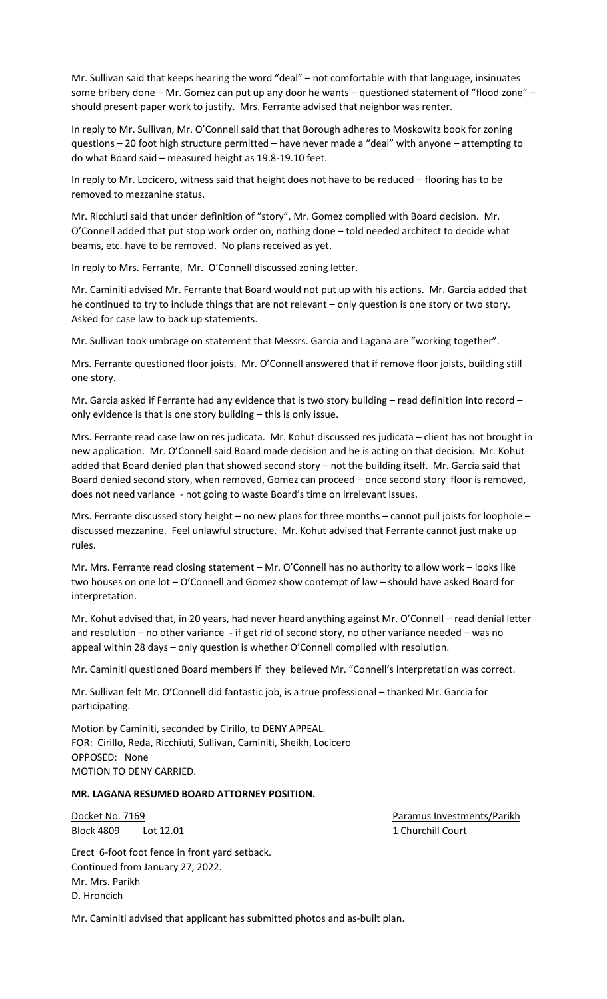Mr. Sullivan said that keeps hearing the word "deal" – not comfortable with that language, insinuates some bribery done – Mr. Gomez can put up any door he wants – questioned statement of "flood zone" – should present paper work to justify. Mrs. Ferrante advised that neighbor was renter.

In reply to Mr. Sullivan, Mr. O'Connell said that that Borough adheres to Moskowitz book for zoning questions – 20 foot high structure permitted – have never made a "deal" with anyone – attempting to do what Board said – measured height as 19.8-19.10 feet.

In reply to Mr. Locicero, witness said that height does not have to be reduced – flooring has to be removed to mezzanine status.

Mr. Ricchiuti said that under definition of "story", Mr. Gomez complied with Board decision. Mr. O'Connell added that put stop work order on, nothing done – told needed architect to decide what beams, etc. have to be removed. No plans received as yet.

In reply to Mrs. Ferrante, Mr. O'Connell discussed zoning letter.

Mr. Caminiti advised Mr. Ferrante that Board would not put up with his actions. Mr. Garcia added that he continued to try to include things that are not relevant – only question is one story or two story. Asked for case law to back up statements.

Mr. Sullivan took umbrage on statement that Messrs. Garcia and Lagana are "working together".

Mrs. Ferrante questioned floor joists. Mr. O'Connell answered that if remove floor joists, building still one story.

Mr. Garcia asked if Ferrante had any evidence that is two story building – read definition into record – only evidence is that is one story building – this is only issue.

Mrs. Ferrante read case law on res judicata. Mr. Kohut discussed res judicata – client has not brought in new application. Mr. O'Connell said Board made decision and he is acting on that decision. Mr. Kohut added that Board denied plan that showed second story – not the building itself. Mr. Garcia said that Board denied second story, when removed, Gomez can proceed – once second story floor is removed, does not need variance - not going to waste Board's time on irrelevant issues.

Mrs. Ferrante discussed story height – no new plans for three months – cannot pull joists for loophole – discussed mezzanine. Feel unlawful structure. Mr. Kohut advised that Ferrante cannot just make up rules.

Mr. Mrs. Ferrante read closing statement – Mr. O'Connell has no authority to allow work – looks like two houses on one lot – O'Connell and Gomez show contempt of law – should have asked Board for interpretation.

Mr. Kohut advised that, in 20 years, had never heard anything against Mr. O'Connell – read denial letter and resolution – no other variance - if get rid of second story, no other variance needed – was no appeal within 28 days – only question is whether O'Connell complied with resolution.

Mr. Caminiti questioned Board members if they believed Mr. "Connell's interpretation was correct.

Mr. Sullivan felt Mr. O'Connell did fantastic job, is a true professional – thanked Mr. Garcia for participating.

Motion by Caminiti, seconded by Cirillo, to DENY APPEAL. FOR: Cirillo, Reda, Ricchiuti, Sullivan, Caminiti, Sheikh, Locicero OPPOSED: None MOTION TO DENY CARRIED.

# **MR. LAGANA RESUMED BOARD ATTORNEY POSITION.**

Docket No. 7169 Paramus Investments/Parikh Block 4809 Lot 12.01 2008 1 Churchill Court

Erect 6-foot foot fence in front yard setback. Continued from January 27, 2022. Mr. Mrs. Parikh D. Hroncich

Mr. Caminiti advised that applicant has submitted photos and as-built plan.